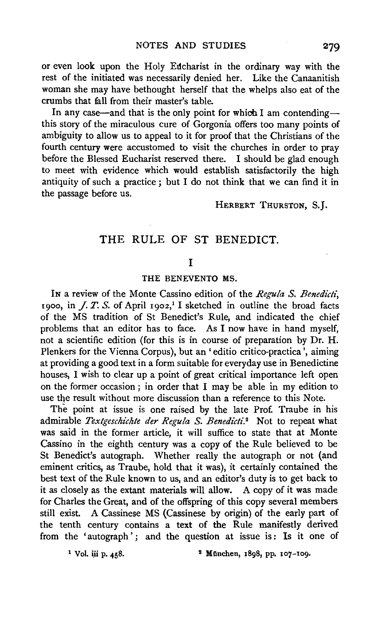or even look upon the Holy Ertcharist in the ordinary way with the rest of the initiated was necessarily denied her. Like the Canaanitish woman she may have bethought herself that the whelps also eat of the crumbs that fall from their master's table.

In any case—and that is the only point for which I am contending this story of the miraculous cure of Gorgonia offers too many points of ambiguity to allow us to appeal to it for proof that the Christians of the fourth century were accustomed to visit the churches in order to pray before the Blessed Eucharist reserved there. I should be glad enough to meet with evidence which would establish satisfactorily the high antiquity of such a practice ; but I do not think that we can find it in the passage before us.

HERBERT THURSTON, S.J.

# THE RULE OF ST BENEDICT.

#### I

#### THE BENEVENTO MS.

IN a review of the Monte Cassino edition of the *Regula S. Benedicti,*  19oo, in *J.* T. *S.* of April 1902/ I sketched in outline the broad facts of the MS tradition of St Benedict's Rule, and indicated the chief problems that an editor has to face. As I now have in hand myself, not a scientific edition (for this is in course of preparation by Dr. H. Plenkers for the Vienna Corpus), but an 'editio critico-practica', aiming at providing a good text in a form suitable for everyday use in Benedictine houses, I wish to clear up a point of great critical importance left open on the former occasion ; in order that I may be able in my edition to use the result without more discussion than a reference to this Note.

The point at issue is one raised by the late Prof. Traube in his admirable *Textgeschichte der Regula S. Benedicti.2* Not to repeat what was said in the former article, it will suffice to state that at Monte Cassino in the eighth century was a copy of the Rule believed to be St Benedict's autograph. Whether really the autograph or not (and eminent critics, as Traube, hold that it was), it certainly contained the best text of the Rule known to us, and an editor's duty is to get back to it as closely as the extant materials will allow. A copy of it was made for Charles the Great, and of the offspring of this copy several members still exist. A Cassinese MS (Cassinese by origin) of the early part of the tenth century contains a text of the Rule manifestly derived from the 'autograph'; and the question at issue is: Is it one of

 $1$  Vol. iii p. 458.  $2$  München, 1898, pp. 107-109.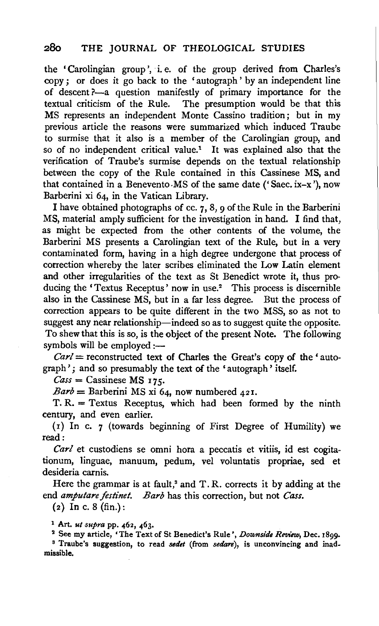### **28o THE** JOURNAL OF THEOLOGICAL STUDIES

the 'Carolingian group', i. e. of the group derived from Charles's copy ; or does it go back to the ' autograph ' by an independent line of descent ?-a question manifestly of primary importance for the textual criticism of the Rule. The presumption would be that this MS represents an independent Monte Cassino tradition; but in my previous article the reasons were summarized which induced Traube to surmise that it also is a member of the Carolingian group, and so of no independent critical value.<sup>1</sup> It was explained also that the verification of Traube's surmise depends on the textual relationship between the copy of the Rule contained in this Cassinese MS, and that contained in a Benevento  $MS$  of the same date ('Saec. ix-x'), now Barberini xi 64, in the Vatican Library.

I have obtained photographs of cc. 7, 8, 9 of the Rule in the Barberini MS, material amply sufficient for the investigation in hand. I find that, as might be expected from the other contents of the volume, the Barberini MS presents a Carolingian text of the Rule, but in a very contaminated form, having in a high degree undergone that process of correction whereby the later scribes eliminated the Low Latin element and other irregularities of the text as St Benedict wrote it, thus producing the 'Textus Receptus' now in use.<sup>2</sup> This process is discernible also in the Cassinese MS, but in a far less degree. But the process of correction appears to be quite different in the two MSS, so as not to suggest any near relationship—indeed so as to suggest quite the opposite. To shew that this is so, is the object of the present Note. The following symbols will be employed  $:$ --

 $Carl$  = reconstructed text of Charles the Great's copy of the 'autograph'; and so presumably the text of the 'autograph' itself.

 $\textit{Cass} = \text{Cassinese MS } 175$ .

 $Barb =$  Barberini MS xi 64, now numbered 421.

 $T. R. = Textus$  Receptus, which had been formed by the ninth century, and even earlier.

(1} In c. 7 (towards beginning of First Degree of Humility} we read:

*Carl* et custodiens se omni hora a peccatis et vitiis, id est cogitationum, linguae, manuum, pedum, vel voluntatis propriae, sed et desideria carnis.

Here the grammar is at fault, $3$  and T.R. corrects it by adding at the end *amputare festinet. Barb* has this correction, but not *Cass.* 

 $(2)$  In c. 8  $(\text{fin.})$ :

<sup>1</sup> Art. *ut supra* pp. 462, 463.<br><sup>2</sup> See my article, 'The Text of St Benedict's Rule ', *Downside Review*, Dec. 1899.<br><sup>3</sup> Traube's suggestion, to read *sedet* (from *sedare*), is unconvincing and inad-

missible.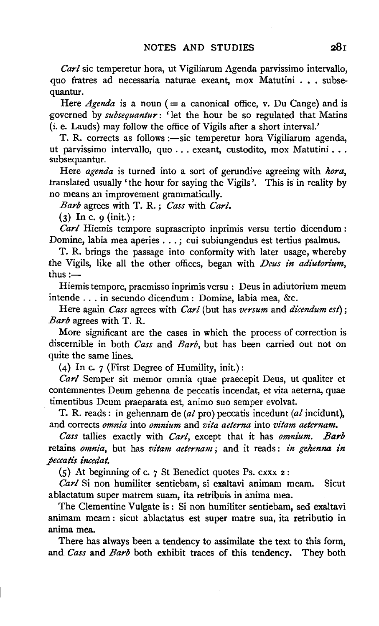*Carl* sic temperetur hora, ut Vigiliarum Agenda parvissimo intervallo, quo fratres ad necessaria naturae exeant, mox Matutini . . . subsequantur.

Here *Agenda* is a noun ( $=$  a canonical office, v. Du Cange) and is governed by *subsequantur:* 'let the hour be so regulated that Matins (i.e. Lauds) may follow the office of Vigils after a short interval.'

T. R. corrects as follows :- sic temperetur hora Vigiliarum agenda, ut parvissimo intervallo, quo ... exeant, custodito, mox Matutini ... subsequantur.

Here *agenda* is turned into a sort of gerundive agreeing with *hora,*  translated usually' the hour for saying the Vigils'. This is in reality by no means an improvement grammatically.

*Barb* agrees with T. R. ; *Cass* with *Carl.* 

 $(3)$  In c. 9 (init.):

*Car!* Hiemis tempore suprascripto inprimis versu tertio dicendum : Domine, labia mea aperies ... ; cui subiungendus est tertius psalmus.

T. R. brings the passage into conformity with later usage, whereby the Vigils, like all the other offices, began with *Deus in adiutorium,*  thus: $-$ 

Hiemis tempore, praemisso inprimis versu : Deus in adiutorium meum intende ... in secundo dicendum : Domine, labia mea, &c.

Here again *Cass* agrees with *Carl* (but has *versum* and *dicmdum est)* ; *Barb* agrees with T. R.

More significant are the cases in which the process of correction is discernible in both *Cass* and *Barb,* but has been carried out not on quite the same lines.

(4) In c.  $7$  (First Degree of Humility, init.):

*Car!* Semper sit memor omnia quae praecepit Deus, ut qualiter et contemnentes Deum gehenna de peccatis incendat, et vita aeterna, quae timentibus Deum praeparata est, animo suo semper evolvat.

T. R. reads: in gehennam de *(al* pro) peccatis incedunt *(al* incidunt), and corrects *omnia* into *omnium* and *vita aeterna* into *vitam aeternam.* 

*Cass* tallies exactly with *Carl,* except that it has *omnium. Barb*  retains *omnia*, but has *vitam aeternam*; and it reads: *in gehenna in peccatis incedat.* 

 $(5)$  At beginning of c. 7 St Benedict quotes Ps. cxxx  $\boldsymbol{z}$ :

*Car!* Si non humiliter sentiebam, si exaltavi animam meam. Sicut ablactatum super matrem suam, ita retribuis in anima mea.

The Clementine Vulgate is: Si non humiliter sentiebam, sed exaltavi animam meam : sicut ablactatus est super matre sua, ita retributio in anima mea.

There has always been a tendency to assimilate the text to this form, and *Cass* and *Barb* both exhibit traces of this tendency. They both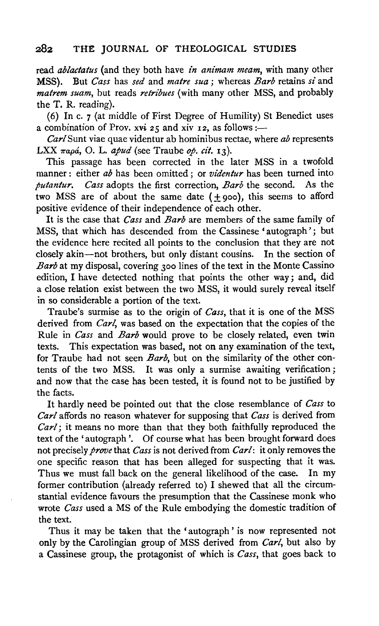read *ablactatus* (and they both have *in animam meam*, with many other MSS). But *Cass* has *sed* and *matre sua;* whereas *Barb* retains *st'* and *matrem suam,* but reads *retribues* (with many other MSS, and probably the T. R. reading).

(6) In c. 7 (at middle of First Degree of Humility) St Benedict uses a combination of Prov.  $x \nmid z \in \text{and } x \nmid y \in z$ , as follows:-

*Car!* Sunt viae quae videntur ab hominibus rectae, where *ab* represents LXX  $\pi a \rho \dot{a}$ , O. L.  $a \rho u d$  (see Traube *op. cit.* **13**).

This passage has been corrected in the later MSS in a twofold manner : either *ab* has been omitted ; or *videntur* has been turned into *putantur. Cass* adopts the first correction, *Barb* the second. As the two MSS are of about the same date  $( \pm 900)$ , this seems to afford positive evidence of their independence of each other.

It is the case that *Cass* and *Barb* are members of the same family of MSS, that which has descended from the Cassinese 'autograph'; but the evidence here recited all points to the conclusion that they are not closely akin—not brothers, but only distant cousins. In the section of closely akin--not brothers, but only distant cousins. *Barb* at my disposal, covering 300 lines of the text in the Monte Cassino edition, I have detected nothing that points the other way; and, did a close relation exist between the two MSS, it would surely reveal itself in so considerable a portion of the text.

Traube's surmise as to the origin of *Cass,* that it is one of the MSS derived from *Car!,* was based on the expectation that the copies of the Rule in *Cass* and *Barb* would prove to be closely related, even twin texts. This expectation was based, not on any examination of the text, for Traube had not seen *Barb,* but on the similarity of the other contents of the two MSS. It was only a surmise awaiting verification ; and now that the case has been tested, it is found not to be justified by the facts.

It hardly need be pointed out that the close resemblance of *Cass* to *Carl* affords no reason whatever for supposing that *Cass* is derived from *Car!;* it means no more than that they both faithfully reproduced the text of the 'autograph '. Of course what has been brought forward does not precisely *prove* that *Cass* is not derived from *Car!:* it only removes the one specific reason that has been alleged for suspecting that it was. Thus we must fall back on the general likelihood of the case. In my former contribution (already referred to) I shewed that all the circumstantial evidence favours the presumption that the Cassinese monk who wrote *Cass* used a MS of the Rule embodying the domestic tradition of the text.

Thus it may be taken that the 'autograph' is now represented not only by the Carolingian group of MSS derived from *Carl,* but also by a Cassinese group, the protagonist of which is *Cass,* that goes back to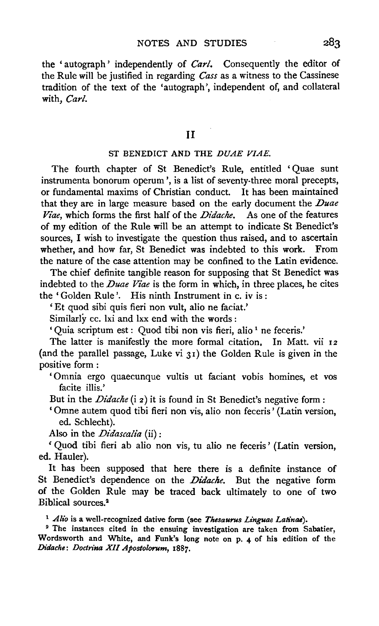the ' autograph' independently of *Carl.* Consequently the editor of the Rule will be justified in regarding *Cass* as a witness to the Cassinese tradition of the text of the 'autograph', independent of, and collateral with, *Car/.* 

11

#### ST BENEDICT AND THE *DUAE VIAE.*

The fourth chapter of St Benedict's Rule, entitled ' Quae sunt instrumenta bonorum operum', is a list of seventy-three moral precepts, or fundamental maxims of Christian conduct. It has been maintained that they are in large measure based on the early document the *Duae*  Viae, which forms the first half of the *Didache*. As one of the features of my edition of the Rule will be an attempt to indicate St Benedict's sources, I wish to investigate the question thus raised, and to ascertain whether, and how far, St Benedict was indebted to this work. From the nature of the case attention may be confined to the Latin evidence.

The chief definite tangible reason for supposing that St Benedict was indebted to the *Duae Viae* is the form in which, in three places, he cites the 'Golden Rule'. His ninth Instrument in c. iv is:

' Et quod sibi quis fieri non vult, alio ne faciat.'

Similarly cc. lxi and lxx end with the words :

' Quia scriptum est : Quod tibi non vis fieri, alio<sup>1</sup> ne feceris.'

The latter is manifestly the more formal citation. In Matt. vii 12 (and the parallel passage, Luke vi  $31$ ) the Golden Rule is given in the positive form :

'Omnia ergo quaecunque vultis ut faciant vobis homines, et vos facite illis.'

But in the *Didache* (i 2) it is found in St Benedict's negative form:

' Omne autem quod tibi fieri non vis, alio non feceris ' (Latin version, ed. Schlecht).

Also in the *Didascalia* (ii) :

' Quod tibi fieri ab alio non vis, tu alio ne feceris ' (Latin version, ed. Hauler).

It has been supposed that here there is a definite instance of St Benedict's dependence on the *Didache.* But the negative form of the Golden Rule may be traced back ultimately to one of two Biblical sources.2

<sup>1</sup>*Alio* is a well-recognized dative form (see *Thesaurus Linguae Latinae).* 

<sup>2</sup> The instances cited in the ensuing investigation are taken from Sabatier, Wordsworth and White, and Funk's long note on p. 4 of his edition of the *Didache: Doctrina XII Apostolorum,* 1887.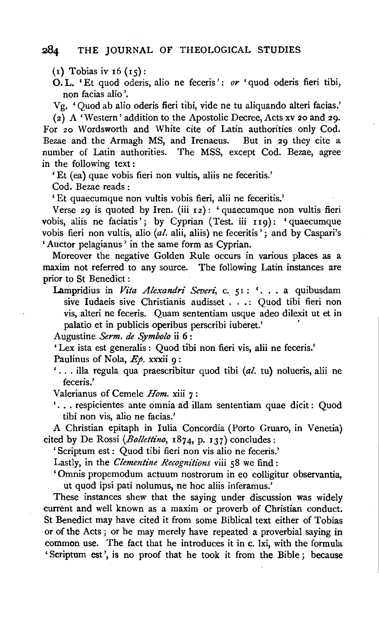$(1)$  Tobias iv 16  $(15)$ :

0. L. 'Et quod oderis, alio ne feceris': *or* 'quod oderis fieri tibi, non facias alio '.

Vg. 'Quod ab alio oderis fieri tibi, vide ne tu aliquando alteri facias.'

(2) A 'Western' addition to the Apostolic Decree, Acts xv 20 and 29. For 20 Wordsworth and White cite of Latin authorities only Cod. Bezae and the Armagh MS, and Irenaeus. But in 29 they cite a number of Latin authorities. The MSS, except Cod. Bezae, agree in the following text :

'Et (ea) quae vobis fieri non vultis, aliis ne feceritis.'

Cod. Bezae reads :

' Et quaecumque non vultis vobis fieri, alii ne feceritis.'

Verse 29 is quoted by Iren. (iii  $12$ ): 'quaecumque non vultis fieri vobis, aliis ne faciatis'; by Cyprian (Test. iii 119): 'quaecumque vobis fieri non vultis, alio *(al.* alii, aliis) ne feceritis'; and by Caspari's 'Auctor pelagianus ' in the same form as Cyprian.

Moreover the negative Golden Rule occurs in various places as a maxim not referred to any source. The following Latin instances are prior to St Benedict :

Lampridius in Vita Alexandri Severi, c. 51: '. . . a quibusdam sive Iudaeis sive Christianis audisset . . . : Quod tibi fieri non vis, alteri ne feceris. Quam sententiam usque adeo dilexit ut et in palatio et in publicis operibus perscribi iuberet.' '

Augustine *Serm. de Symbolo* ii 6 :

' Lex ista est generalis : Quod tibi non fieri vis, alii ne feceris.' Paulinus of Nola,  $E_p$ . xxxii 9:

' ... illa regula qua praescribitur quod tibi *(al.* tu) nolueris, alii ne feceris.'

Valerianus of Cemele *Hom.* xiii 7:

' ... respicientes ante omnia ad illam sententiam quae dicit : Quod tibi non vis, alio ne facias.'

A Christian epitaph in Iulia Concordia (Porto Gruaro, in Venetia) cited by De Rossi *(Bollettino,* I874, p. 137) concludes:

'Scriptum est: Quod tibi fieri non vis alio ne feceris.'

Lastly, in the *Clementine Recognitions* viii 58 we find:

'Omnis propemodum actuum nostrorum in eo colligitur observantia, ut quod ipsi pati nolumus, ne hoc aliis inferamus.'

These instances shew that the saying under discussion was widely current and well known as a maxim or proverb of Christian conduct. St Benedict may have cited it from some Biblical text either of Tobias or of the Acts; or he may merely have repeated a proverbial saying in common use. The fact that he introduces it in c. lxi, with the formula ' Scriptum est', is no proof that he took it from the Bible ; because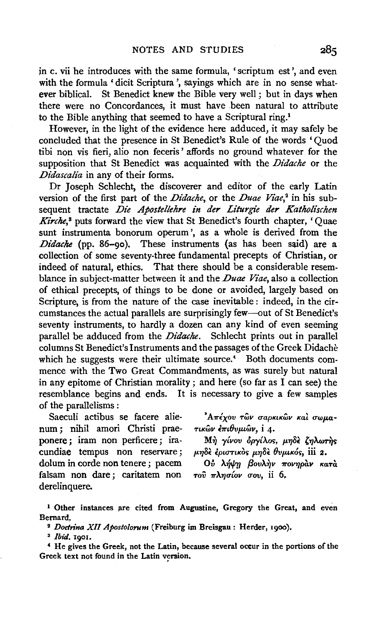jn c. vii he introduces with the same formula, 'scriptum est', and even with the formula 'dicit Scriptura', sayings which are in no sense whatever biblical. St Benedict knew the Bible very well ; but in days when there were no Concordances, it must have been natural to attribute to the Bible anything that seemed to have a Scriptural ring.<sup>1</sup>

However, in the light of the evidence here adduced, it may safely be concluded that the presence in St Benedict's Rule of the words ' Quod tibi non vis fieri, alio non feceris ' affords no ground whatever for the supposition that St Benedict was acquainted with the *Didache* or the *Didascalia* in any of their forms.

Dr Joseph Schlecht, the discoverer and editor of the early Latin version of the first part of the *Didache*, or the *Duae Viae*,<sup>2</sup> in his subsequent tractate *Die Apostellehre in der Liturgie der Katholischen Kirche*,<sup>3</sup> puts forward the view that St Benedict's fourth chapter, 'Quae sunt instrumenta bonorum operum', as a whole is derived from the *Didache* (pp. 86-go). These instruments (as has been said) are a collection of some seventy-three fundamental precepts of Christian, or indeed of natural, ethics. That there should be a considerable resemblance in subject-matter between it and the *Duae Viae*, also a collection of ethical precepts, of things to be done or avoided, largely based on Scripture, is from the nature of the case inevitable : indeed, in the circumstances the actual parallels are surprisingly few-out of St Benedict's seventy instruments, to hardly a dozen can any kind of even seeming parallel be adduced from the *Didache.* Schlecht prints out in parallel columns St Benedict's Instruments and the passages of the Greek Didache which he suggests were their ultimate source.<sup>4</sup> Both documents commence with the Two Great Commandments, as was surely but natural in any epitome of Christian morality; and here (so far as I can see) the resemblance begins and ends. It is necessary to give a few samples of the parallelisms :

Saeculi actibus se facere alienum ; nihil amori Christi praeponere; iram non perficere; iracundiae tempus non reservare ; dolum in corde non tenere; pacem falsam non dare ; caritatem non derelinquere.

'Απέχου τῶν σαρκικῶν καὶ σωμα- $\tau$ ικών έπιθυμιών, i 4.

Mη γίνου όργίλος, μηδε ζηλωτής μηδέ έριστικός μηδέ θυμικός, iii 2.

Ου λήψη βουλήν πονηράν κατά τού πλησίον σου, ii 6,

<sup>1</sup> Other instances are cited from Augustine, Gregory the Great, and even Bernard.<br><sup>2</sup> *Doctrina XII Apostolorum* (Freiburg im Breisgau: Herder, 1900).<br><sup>3</sup> *Ibid.* 1901.

4 He gives the Greek, not the Latin, because several occur in the portions of the Greek text not found in the Latin version.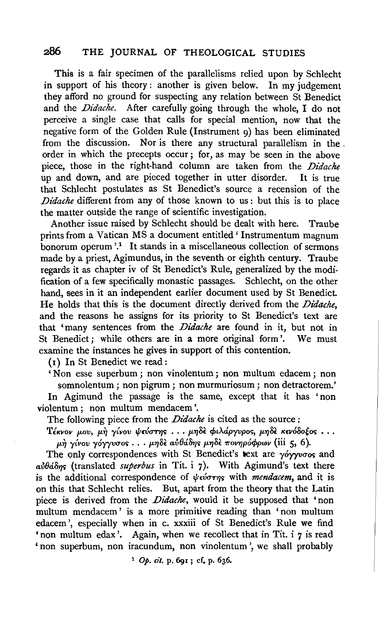## 286 THE JOURNAL OF THEOLOGICAL STUDIES

This is a fair specimen of the parallelisms relied upon by Schlecht in support of his theory : another is given below. In my judgement they afford no ground for suspecting any relation between St Benedict and the *Didache.* After carefully going through the whole, I do not perceive a single case that calls for special mention, now that the negative form of the Golden Rule (Instrument 9) has been eliminated from the discussion. Nor is there any structural parallelism in the \_ order in which the precepts occur; for, as may be seen in the above piece, those in the right-hand column are taken from the *Didache*  up and down, and are pieced together in utter disorder. It is true that Schlecht postulates as St Benedict's source a recension of the *Didache* different from any of those known to us : but this is to place the matter outside the range of scientific investigation.

Another issue raised by Schlecht should be dealt with here. Traube prints from a Vatican MS a document entitled ' Instrumentum magnum bonorum operum '.1 It stands in a miscellaneous collection of sermons made by a priest, Agimundus, in the seventh or eighth century. Traube regards it as chapter iv of St Benedict's Rule, generalized by the modification of a few specifically monastic passages. Schlecht, on the other hand, sees in it an independent earlier document used by St Benedict. He holds that this is the document directly derived from the *Didache,*  and the reasons he assigns for its priority to St Benedict's text are that 'many sentences from the *Didache* are found in it, but not in St Benedict ; while others are in a more original form '. We must examine the instances he gives in support of this contention.

( 1) In St Benedict we read :

'Non esse superbum; non vinolentum; non multum edacem; non somnolentum ; non pigrum ; non murmuriosum ; non detractorem.'

In Agimund the passage is the same, except that it has 'non violentum ; non multum mendacem '.

The following piece from the *Didache* is cited as the source :

Tέκνον μου, μη γίνου ψεύστης ... μηδε φιλάργυρος, μηδε κενόδοξος ...  $\mu$ ή γίνου γόγγυσος... $\mu$ ηδε αυθάδης μηδε πονηρόφρων (iii 5, 6).

The only correspondences with St Benedict's text are  $\gamma \delta \gamma \gamma \nu \sigma o s$  and  $a\hat{v}\theta\hat{a}\hat{b}\eta s$  (translated superbus in Tit. i 7). With Agimund's text there is the additional correspondence of ψεύστης with *mendacem*, and it is on this that Schlecht relies. But, apart from the theory that the Latin piece is derived from the *Didache,* would it be supposed that 'non multum mendacem' is a more primitive reading than 'non multum edacem ', especially when in c. xxxiii of St Benedict's Rule we find 'non multum edax'. Again, when we recollect that in Tit. i 7 is read 'non superbum, non iracundum, non vinolentum ', we shall probably

1 Op. *cit.* p. 691 ; cf. p. 636.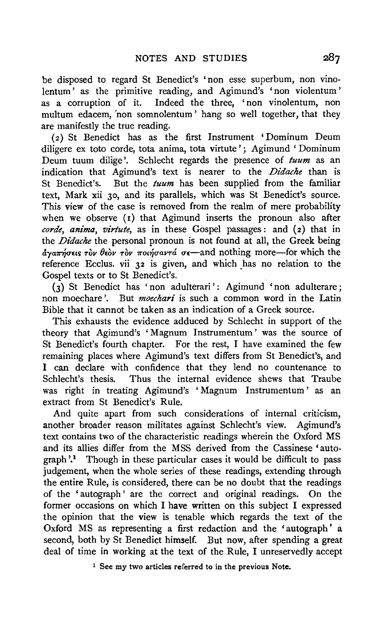be disposed to regard St Benedict's 'non esse superbum, non vinolentum' as the primitive reading, and Agimund's 'non violentum' as a corruption of it. Indeed the three, 'non vinolentum, non multum edacem, 'non somnolentum' hang so well together, that they are manifestly the true reading.

(2) St Benedict has as the first Instrument 'Dominum Deum diligere ex toto corde, tota anima, tota virtute'; Agimund 'Dominum Deum tuum dilige '. Schlecht regards the presence of *tuum* as an indication that Agimund's text is nearer to the *Didache* than is St Benedict's. But the *tuum* has been supplied from the familiar text, Mark xii 30, and its parallels, which was St Benedict's source. This view of the case is removed from the realm of mere probability when we observe (1) that Agimund inserts the pronoun also after *corde, anima, virtute*, as in these Gospel passages: and (2) that in the *Didache* the personal pronoun is not found at all, the Greek being  $\frac{d}{dx}$   $\frac{d}{dx}$   $\frac{d}{dx}$   $\frac{d}{dx}$   $\frac{d}{dx}$   $\frac{d}{dx}$   $\frac{d}{dx}$   $\frac{d}{dx}$   $\frac{d}{dx}$   $\frac{d}{dx}$   $\frac{d}{dx}$   $\frac{d}{dx}$   $\frac{d}{dx}$   $\frac{d}{dx}$   $\frac{d}{dx}$   $\frac{d}{dx}$   $\frac{d}{dx}$   $\frac{d}{dx}$   $\frac{d}{dx}$   $\frac{d}{dx}$   $\frac{d}{dx}$   $\frac{d}{dx}$  reference Ecclus. vii 32 is given, and which \_has no relation to the Gospel texts or to St Benedict's.

(3) St Benedict has 'non adulterari': Agimund 'non adulterare; non moechare '. But *moechari* is such a common word in the Latin Bible that it cannot be taken as an indication of a Greek source.

This exhausts the evidence adduced by Schlecht in support of the theory that Agimund's ' Magnum Instrumentum ' was the source of St Benedict's fourth chapter. For the rest, I have examined the few remaining places where Agimund's text differs from St Benedict's, and I can declare with confidence that they lend no countenance to Schlecht's thesis. Thus the internal evidence shews that Traube was right in treating Agimund's 'Magnum Instrumentum' as an extract from St Benedict's Rule.

And quite apart from such considerations of internal criticism, another broader reason militates against Schlecht's view. Agimund's text contains two of the characteristic readings wherein the Oxford MS and its allies differ from the MSS derived from the Cassinese 'autograph'.<sup>1</sup> Though in these particular cases it would be difficult to pass judgement, when the whole series of these readings, extending through the entire Rule, is considered, there can be no doubt that the readings of the ' autograph ' are the correct and original readings. On the former occasions on which I have written on this subject I expressed the opinion that the view is tenable which regards the text of the Oxford MS as representing a first redaction and the 'autograph' a second, both by St Benedict himself. But now, after spending a great deal of time in working at the text of the Rule, I unreservedly accept

<sup>1</sup> See my two articles referred to in the previous Note.